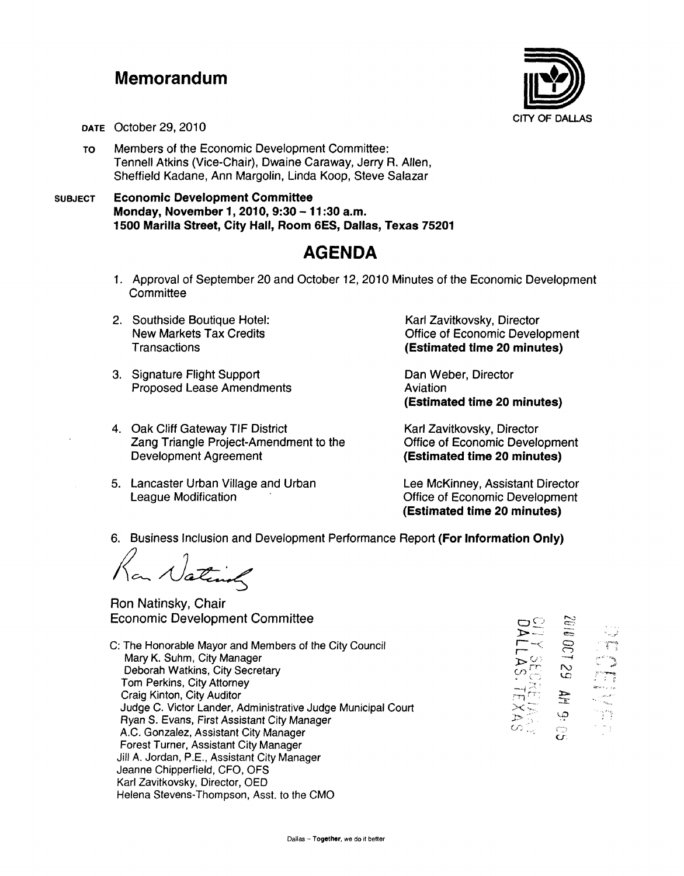## **Memorandum**



DATE October 29, 2010

- TO Members of the Economic Development Committee: Tennell Atkins (Vice-Chair), Dwaine Caraway, Jerry R. Allen, Sheffield Kadane, Ann Margolin, Linda Koop, Steve Salazar
- SUBJECT Economic Development Committee Monday, November 1, 2010, 9:30 - 11 :30 a.m. 1500 Marilla Street, City Hall, Room 6ES, Dallas, Texas 75201

## **AGENDA**

- 1. Approval of September 20 and October 12, 2010 Minutes of the Economic Development **Committee**
- 2. Southside Boutique Hotel: New Markets Tax Credits **Transactions**
- 3. Signature Flight Support Proposed Lease Amendments
- 4. Oak Cliff Gateway TIF District Zang Triangle Project-Amendment to the Development Agreement
- 5. Lancaster Urban Village and Urban League Modification

Karl Zavitkovsky, Director Office of Economic Development (Estimated time 20 minutes)

Dan Weber, Director Aviation (Estimated time 20 minutes)

Karl Zavitkovsky, Director Office of Economic Development (Estimated time 20 minutes)

Lee McKinney, Assistant Director Office of Economic Development (Estimated time 20 minutes)

6. Business Inclusion and Development Performance Report (For Information Only)

National

Ron Natinsky, Chair Economic Development Committee

C: The Honorable Mayor and Members of the City Council Mary K. Suhm, City Manager Deborah Watkins, City Secretary Tom Perkins, City Attorney Craig Kinton, City Auditor Judge C. Victor Lander, Administrative Judge Municipal Court Ryan S. Evans, First Assistant *City* Manager A.C. Gonzalez, Assistant *City* Manager Forest Turner, Assistant City Manager Jill A. Jordan, P.E., Assistant City Manager Jeanne Chipperfield, CFO, OFS Karl Zavitkovsky, Director, OED Helena Stevens-Thompson, Asst. to the CMO

| oo<br>D - - - -<br>$\overline{\phantom{a}}$ $\overline{\phantom{a}}$<br><b>MAN</b><br>๖∼<br>$\infty$ | ~<br><b>-</b><br>an ta<br>ළ<br>⊸<br>N<br>c | gmag<br>G<br>÷ g |
|------------------------------------------------------------------------------------------------------|--------------------------------------------|------------------|
| ᆛ<br>يدالك<br>≻<br>$\approx$ $\approx$                                                               | -2<br>-67                                  | 5.8              |
| $\varphi$ ).                                                                                         | Õ<br>c r:                                  |                  |